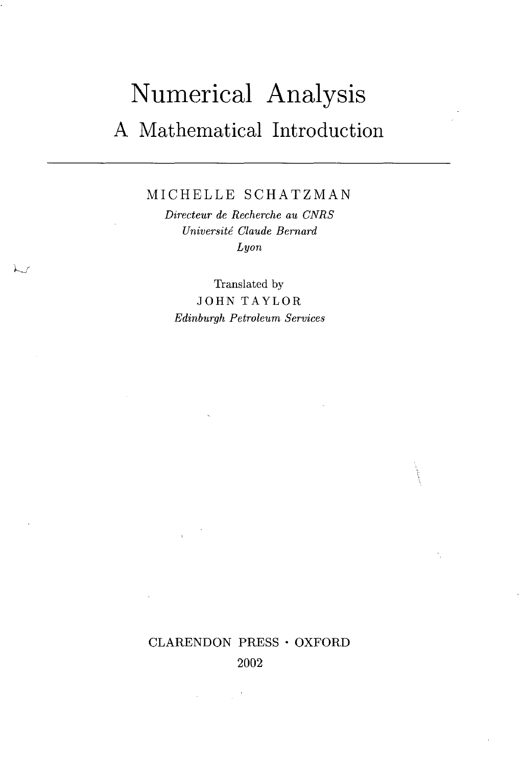## Numerical Analysis A Mathematical Introduction

MICHELLE SCHATZMAN

*Directeur de Recherche au CNRS Universite Claude Bernard Lyon*

Translated by JOHN TAYLOR *Edinburgh Petroleum Services*

### CLARENDON PRESS • OXFORD

2002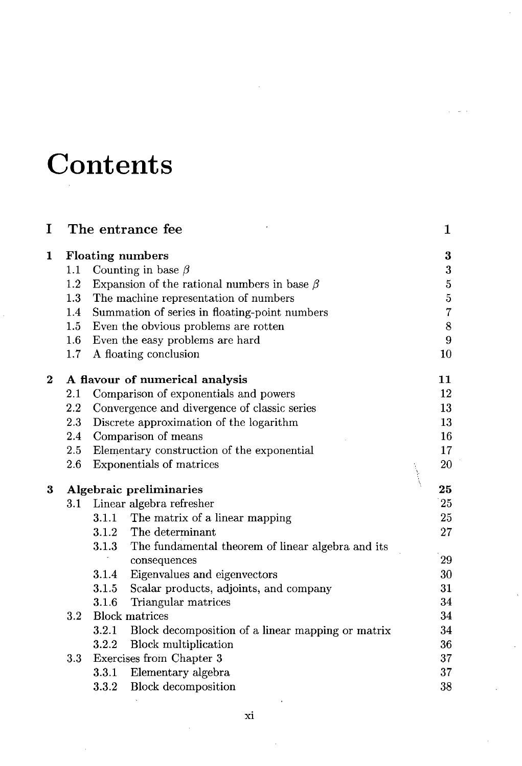# **Contents**

| I                |         |       | The entrance fee                                        | 1                |
|------------------|---------|-------|---------------------------------------------------------|------------------|
| 1                |         |       | <b>Floating numbers</b>                                 | 3                |
|                  | $1.1\,$ |       | Counting in base $\beta$                                | $\boldsymbol{3}$ |
|                  | 1.2     |       | Expansion of the rational numbers in base $\beta$       | $\overline{5}$   |
|                  | 1.3     |       | The machine representation of numbers                   | $\overline{5}$   |
|                  | $1.4\,$ |       | Summation of series in floating-point numbers           | $\overline{7}$   |
|                  | $1.5\,$ |       | Even the obvious problems are rotten                    | 8                |
|                  | $1.6\,$ |       | Even the easy problems are hard                         | 9                |
|                  | $1.7\,$ |       | A floating conclusion                                   | 10               |
| $\boldsymbol{2}$ |         |       | A flavour of numerical analysis                         | 11               |
|                  | 2.1     |       | Comparison of exponentials and powers                   | 12               |
|                  | 2.2     |       | Convergence and divergence of classic series            | 13               |
|                  | 2.3     |       | Discrete approximation of the logarithm                 | 13               |
|                  | 2.4     |       | Comparison of means                                     | 16               |
|                  | 2.5     |       | Elementary construction of the exponential              | 17               |
|                  | 2.6     |       | Exponentials of matrices                                | 20               |
| 3                |         |       | Algebraic preliminaries                                 | 25               |
|                  | 3.1     |       | Linear algebra refresher                                | 25               |
|                  |         |       | 3.1.1 The matrix of a linear mapping                    | 25               |
|                  |         |       | 3.1.2 The determinant                                   | 27               |
|                  |         | 3.1.3 | The fundamental theorem of linear algebra and its       |                  |
|                  |         |       | consequences                                            | 29               |
|                  |         | 3.1.4 | Eigenvalues and eigenvectors                            | 30               |
|                  |         | 3.1.5 | Scalar products, adjoints, and company                  | 31               |
|                  |         | 3.1.6 | Triangular matrices                                     | 34               |
|                  | 3.2     |       | <b>Block matrices</b>                                   | 34               |
|                  |         |       | 3.2.1 Block decomposition of a linear mapping or matrix | 34               |
|                  |         |       | 3.2.2 Block multiplication                              | 36               |
|                  | 3.3     |       | Exercises from Chapter 3                                | 37               |
|                  |         | 3.3.1 | Elementary algebra                                      | 37               |
|                  |         | 3.3.2 | <b>Block</b> decomposition                              | 38               |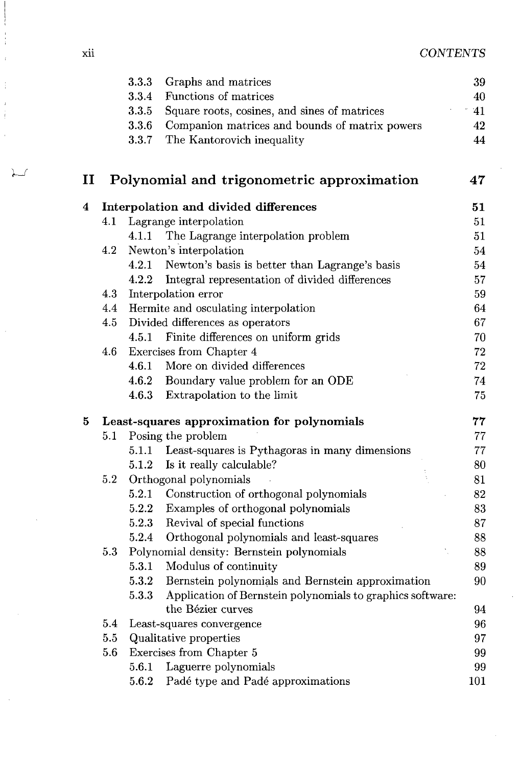| X11 | <b>CONTENTS</b> |
|-----|-----------------|
|     |                 |

|                        |         | 3.3.3 | Graphs and matrices                                        | 39  |
|------------------------|---------|-------|------------------------------------------------------------|-----|
|                        |         | 3.3.4 | Functions of matrices                                      | 40  |
|                        |         | 3.3.5 | Square roots, cosines, and sines of matrices               | 41  |
|                        |         | 3.3.6 | Companion matrices and bounds of matrix powers             | 42  |
|                        |         | 3.3.7 | The Kantorovich inequality                                 | 44  |
| $\mathbf{I}\mathbf{I}$ |         |       | Polynomial and trigonometric approximation                 | 47  |
| 4                      |         |       | Interpolation and divided differences                      | 51  |
|                        | 4.1     |       | Lagrange interpolation                                     | 51  |
|                        |         | 4.1.1 | The Lagrange interpolation problem                         | 51  |
|                        | 4.2     |       | Newton's interpolation                                     | 54  |
|                        |         | 4.2.1 | Newton's basis is better than Lagrange's basis             | 54  |
|                        |         | 4.2.2 | Integral representation of divided differences             | 57  |
|                        | 4.3     |       | Interpolation error                                        | 59  |
|                        | 4.4     |       | Hermite and osculating interpolation                       | 64  |
|                        | $4.5\,$ |       | Divided differences as operators                           | 67  |
|                        |         |       | 4.5.1 Finite differences on uniform grids                  | 70  |
|                        | 4.6     |       | Exercises from Chapter 4                                   | 72  |
|                        |         | 4.6.1 | More on divided differences                                | 72  |
|                        |         | 4.6.2 | Boundary value problem for an ODE                          | 74  |
|                        |         | 4.6.3 | Extrapolation to the limit                                 | 75  |
| 5                      |         |       | Least-squares approximation for polynomials                | 77  |
|                        | 5.1     |       | Posing the problem                                         | 77  |
|                        |         | 5.1.1 | Least-squares is Pythagoras in many dimensions             | 77  |
|                        |         | 5.1.2 | Is it really calculable?                                   | 80  |
|                        | $5.2\,$ |       | Orthogonal polynomials                                     | 81  |
|                        |         | 5.2.1 | Construction of orthogonal polynomials                     | 82  |
|                        |         | 5.2.2 | Examples of orthogonal polynomials                         | 83  |
|                        |         | 5.2.3 | Revival of special functions                               | 87  |
|                        |         | 5.2.4 | Orthogonal polynomials and least-squares                   | 88  |
|                        | 5.3     |       | Polynomial density: Bernstein polynomials                  | 88  |
|                        |         | 5.3.1 | Modulus of continuity                                      | 89  |
|                        |         | 5.3.2 | Bernstein polynomials and Bernstein approximation          | 90  |
|                        |         | 5.3.3 | Application of Bernstein polynomials to graphics software: |     |
|                        |         |       | the Bézier curves                                          | 94  |
|                        | 5.4     |       | Least-squares convergence                                  | 96  |
|                        | $5.5\,$ |       | Qualitative properties                                     | 97  |
|                        | 5.6     |       | Exercises from Chapter 5                                   | 99  |
|                        |         | 5.6.1 | Laguerre polynomials                                       | 99  |
|                        |         | 5.6.2 | Padé type and Padé approximations                          | 101 |

λ s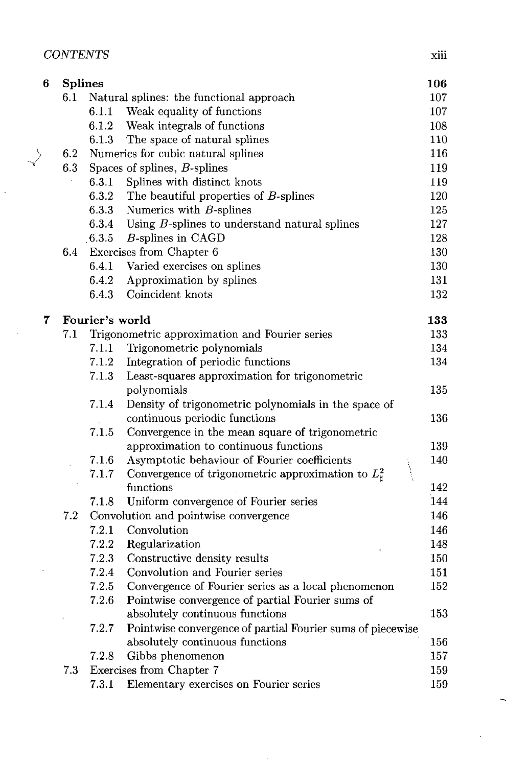| xııı |
|------|
|      |

 $\ddot{\phantom{0}}$ 

| 6 | <b>Splines</b> |                 |                                                                                     | 106              |
|---|----------------|-----------------|-------------------------------------------------------------------------------------|------------------|
|   | 6.1            |                 | Natural splines: the functional approach                                            | 107              |
|   |                | 6.1.1           | Weak equality of functions                                                          | 107 <sup>1</sup> |
|   |                | 6.1.2           | Weak integrals of functions                                                         | 108              |
|   |                | 6.1.3           | The space of natural splines                                                        | 110              |
|   | 6.2            |                 | Numerics for cubic natural splines                                                  | 116              |
|   | 6.3            |                 | Spaces of splines, $B$ -splines                                                     | 119              |
|   |                | 6.3.1           | Splines with distinct knots                                                         | 119              |
|   |                | 6.3.2           | The beautiful properties of B-splines                                               | 120              |
|   |                | 6.3.3           | Numerics with $B$ -splines                                                          | 125              |
|   |                | 6.3.4           | Using $B$ -splines to understand natural splines                                    | 127              |
|   |                | 6.3.5           | B-splines in CAGD                                                                   | 128              |
|   | 6.4            |                 | Exercises from Chapter 6                                                            | 130              |
|   |                | 6.4.1           | Varied exercises on splines                                                         | 130              |
|   |                | 6.4.2           | Approximation by splines                                                            | 131              |
|   |                | 6.4.3           | Coincident knots                                                                    | 132              |
| 7 |                | Fourier's world |                                                                                     | 133              |
|   | 7.1            |                 | Trigonometric approximation and Fourier series                                      | 133              |
|   |                | 7.1.1           | Trigonometric polynomials                                                           | 134              |
|   |                | 7.1.2           | Integration of periodic functions                                                   | 134              |
|   |                | 7.1.3           | Least-squares approximation for trigonometric                                       |                  |
|   |                |                 | polynomials                                                                         | 135              |
|   |                | 7.1.4           | Density of trigonometric polynomials in the space of                                |                  |
|   |                |                 | continuous periodic functions                                                       | 136              |
|   |                | 7.1.5           | Convergence in the mean square of trigonometric                                     |                  |
|   |                |                 | approximation to continuous functions                                               | 139              |
|   |                | 7.1.6           | Asymptotic behaviour of Fourier coefficients                                        | 140              |
|   |                | 7.1.7           | Convergence of trigonometric approximation to $L^2_{\sharp}$                        |                  |
|   |                |                 | functions                                                                           | 142              |
|   |                | 7.1.8           | Uniform convergence of Fourier series                                               | 144              |
|   | 7.2            |                 | Convolution and pointwise convergence                                               | 146              |
|   |                | 7.2.1           | Convolution                                                                         | 146              |
|   |                | 7.2.2           | Regularization                                                                      | 148              |
|   |                | 7.2.3           | Constructive density results                                                        | 150              |
|   |                | 7.2.4           | Convolution and Fourier series                                                      | 151              |
|   |                | 7.2.5           | Convergence of Fourier series as a local phenomenon                                 | 152              |
|   |                | 7.2.6           | Pointwise convergence of partial Fourier sums of<br>absolutely continuous functions | 153              |
|   |                | 7.2.7           | Pointwise convergence of partial Fourier sums of piecewise                          |                  |
|   |                |                 | absolutely continuous functions                                                     | 156              |
|   |                | 7.2.8           | Gibbs phenomenon                                                                    | 157              |
|   | 7.3            |                 | Exercises from Chapter 7                                                            | 159              |
|   |                | 7.3.1           | Elementary exercises on Fourier series                                              | 159              |
|   |                |                 |                                                                                     |                  |

Ŷ,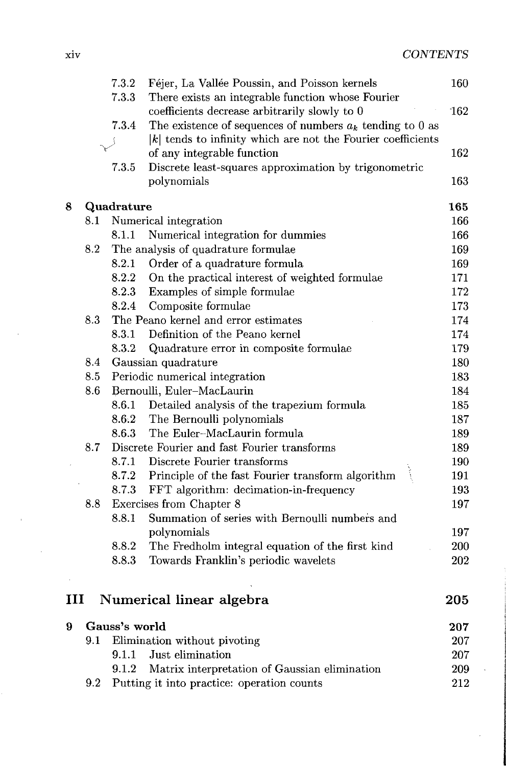|   |         | 7.3.2         | Féjer, La Vallée Poussin, and Poisson kernels                  | 160 |
|---|---------|---------------|----------------------------------------------------------------|-----|
|   |         | 7.3.3         | There exists an integrable function whose Fourier              |     |
|   |         |               | coefficients decrease arbitrarily slowly to 0                  | 162 |
|   |         | 7.3.4         | The existence of sequences of numbers $a_k$ tending to 0 as    |     |
|   |         |               | $ k $ tends to infinity which are not the Fourier coefficients |     |
|   |         |               | of any integrable function                                     | 162 |
|   |         | 7.3.5         | Discrete least-squares approximation by trigonometric          |     |
|   |         |               | polynomials                                                    | 163 |
| 8 |         | Quadrature    |                                                                | 165 |
|   | $8.1\,$ |               | Numerical integration                                          | 166 |
|   |         | 8.1.1         | Numerical integration for dummies                              | 166 |
|   | 8.2     |               | The analysis of quadrature formulae                            | 169 |
|   |         | 8.2.1         | Order of a quadrature formula                                  | 169 |
|   |         | 8.2.2         | On the practical interest of weighted formulae                 | 171 |
|   |         | 8.2.3         | Examples of simple formulae                                    | 172 |
|   |         | 8.2.4         | Composite formulae                                             | 173 |
|   | 8.3     |               | The Peano kernel and error estimates                           | 174 |
|   |         | 8.3.1         | Definition of the Peano kernel                                 | 174 |
|   |         | 8.3.2         | Quadrature error in composite formulae                         | 179 |
|   | 8.4     |               | Gaussian quadrature                                            | 180 |
|   | 8.5     |               | Periodic numerical integration                                 | 183 |
|   | 8.6     |               | Bernoulli, Euler-MacLaurin                                     | 184 |
|   |         | 8.6.1         | Detailed analysis of the trapezium formula                     | 185 |
|   |         | 8.6.2         | The Bernoulli polynomials                                      | 187 |
|   |         | 8.6.3         | The Euler-MacLaurin formula                                    | 189 |
|   | 8.7     |               | Discrete Fourier and fast Fourier transforms                   | 189 |
|   |         | 8.7.1         | Discrete Fourier transforms                                    | 190 |
|   |         | 8.7.2         | Principle of the fast Fourier transform algorithm              | 191 |
|   |         | 8.7.3         | FFT algorithm: decimation-in-frequency                         | 193 |
|   | 8.8     |               | Exercises from Chapter 8                                       | 197 |
|   |         | 8.8.1         | Summation of series with Bernoulli numbers and                 |     |
|   |         |               | polynomials                                                    | 197 |
|   |         | 8.8.2         | The Fredholm integral equation of the first kind               | 200 |
|   |         | 8.8.3         | Towards Franklin's periodic wavelets                           | 202 |
|   |         |               |                                                                |     |
| ш |         |               | Numerical linear algebra                                       | 205 |
| 9 |         | Gauss's world |                                                                | 207 |
|   | 9.1     |               | Elimination without pivoting                                   | 207 |
|   |         | 9.1.1         | Just elimination                                               | 207 |
|   |         | 9.1.2         | Matrix interpretation of Gaussian elimination                  | 209 |
|   | 9.2     |               | Putting it into practice: operation counts                     | 212 |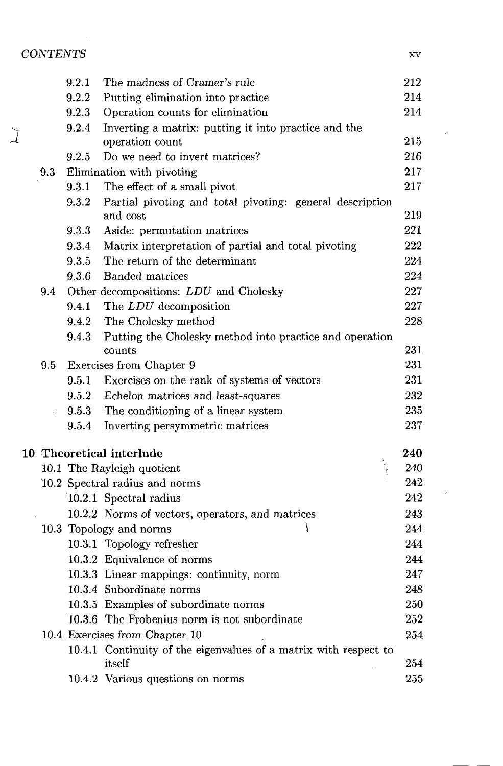### *CONTENTS* xv

|                      | 9.2.1 | The madness of Cramer's rule                                               | 212     |
|----------------------|-------|----------------------------------------------------------------------------|---------|
|                      | 9.2.2 | Putting elimination into practice                                          | 214     |
|                      | 9.2.3 | Operation counts for elimination                                           | 214     |
|                      | 9.2.4 | Inverting a matrix: putting it into practice and the                       |         |
|                      |       | operation count                                                            | 215     |
|                      | 9.2.5 | Do we need to invert matrices?                                             | 216     |
| 9.3                  |       | Elimination with pivoting                                                  | 217     |
|                      | 9.3.1 | The effect of a small pivot                                                | 217     |
|                      | 9.3.2 | Partial pivoting and total pivoting: general description<br>and cost       | 219     |
|                      | 9.3.3 | Aside: permutation matrices                                                | 221     |
|                      | 9.3.4 | Matrix interpretation of partial and total pivoting                        | 222     |
|                      | 9.3.5 | The return of the determinant                                              | 224     |
|                      | 9.3.6 | <b>Banded matrices</b>                                                     | 224     |
| 9.4                  |       | Other decompositions: LDU and Cholesky                                     | 227     |
|                      | 9.4.1 | The LDU decomposition                                                      | 227     |
|                      | 9.4.2 | The Cholesky method                                                        | 228     |
|                      | 9.4.3 | Putting the Cholesky method into practice and operation                    |         |
|                      |       | counts                                                                     | 231     |
| 9.5                  |       | Exercises from Chapter 9                                                   | 231     |
|                      | 9.5.1 | Exercises on the rank of systems of vectors                                | 231     |
|                      | 9.5.2 | Echelon matrices and least-squares                                         | 232     |
| $\ddot{\phantom{a}}$ | 9.5.3 | The conditioning of a linear system                                        | 235     |
|                      | 9.5.4 | Inverting persymmetric matrices                                            | 237     |
|                      |       | 10 Theoretical interlude                                                   | 240     |
|                      |       | 10.1 The Rayleigh quotient                                                 | 240     |
|                      |       | 10.2 Spectral radius and norms                                             | 242     |
|                      |       | 10.2.1 Spectral radius                                                     | 242     |
|                      |       | 10.2.2 Norms of vectors, operators, and matrices                           | 243     |
|                      |       | 10.3 Topology and norms                                                    | 244     |
|                      |       | 10.3.1 Topology refresher                                                  | 244     |
|                      |       | 10.3.2 Equivalence of norms                                                | 244     |
|                      |       | 10.3.3 Linear mappings: continuity, norm                                   | 247     |
|                      |       | 10.3.4 Subordinate norms                                                   | 248     |
|                      |       | 10.3.5 Examples of subordinate norms                                       | 250     |
|                      |       | 10.3.6 The Frobenius norm is not subordinate                               | 252     |
|                      |       | 10.4 Exercises from Chapter 10                                             | 254     |
|                      |       | 10.4.1 Continuity of the eigenvalues of a matrix with respect to<br>itself | 254     |
|                      |       | 10.4.2 Various questions on norms                                          | $255\,$ |
|                      |       |                                                                            |         |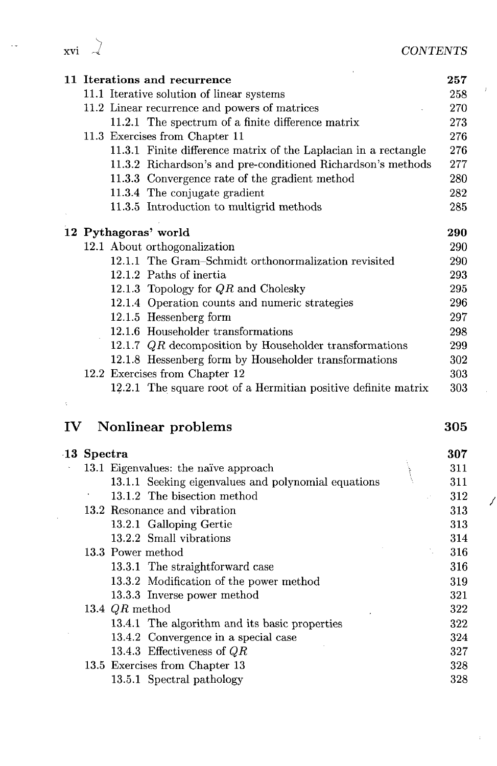|  | CONTENTS |  |  |  |
|--|----------|--|--|--|

 $\frac{1}{2}$ 

 $\hat{\mathcal{A}}$ 

| <b>XVI</b> |  |  |
|------------|--|--|

 $\ddot{\phantom{a}}$ 

|                 | 11 Iterations and recurrence                                    |     |  |  |  |  |  |
|-----------------|-----------------------------------------------------------------|-----|--|--|--|--|--|
|                 | 11.1 Iterative solution of linear systems                       |     |  |  |  |  |  |
|                 | 11.2 Linear recurrence and powers of matrices                   |     |  |  |  |  |  |
|                 | 11.2.1 The spectrum of a finite difference matrix               |     |  |  |  |  |  |
|                 | 11.3 Exercises from Chapter 11                                  |     |  |  |  |  |  |
|                 | 11.3.1 Finite difference matrix of the Laplacian in a rectangle |     |  |  |  |  |  |
|                 | 11.3.2 Richardson's and pre-conditioned Richardson's methods    |     |  |  |  |  |  |
|                 | 11.3.3 Convergence rate of the gradient method                  |     |  |  |  |  |  |
|                 | 11.3.4 The conjugate gradient                                   |     |  |  |  |  |  |
|                 | 11.3.5 Introduction to multigrid methods                        |     |  |  |  |  |  |
|                 | 12 Pythagoras' world                                            |     |  |  |  |  |  |
|                 | 12.1 About orthogonalization                                    |     |  |  |  |  |  |
|                 | 12.1.1 The Gram-Schmidt orthonormalization revisited            |     |  |  |  |  |  |
|                 | 12.1.2 Paths of inertia                                         |     |  |  |  |  |  |
|                 | 12.1.3 Topology for $QR$ and Cholesky                           |     |  |  |  |  |  |
|                 | 12.1.4 Operation counts and numeric strategies                  |     |  |  |  |  |  |
|                 | 12.1.5 Hessenberg form                                          |     |  |  |  |  |  |
|                 | 12.1.6 Householder transformations                              |     |  |  |  |  |  |
|                 | 12.1.7 $QR$ decomposition by Householder transformations        |     |  |  |  |  |  |
|                 | 12.1.8 Hessenberg form by Householder transformations           |     |  |  |  |  |  |
|                 |                                                                 |     |  |  |  |  |  |
|                 | 12.2 Exercises from Chapter 12                                  |     |  |  |  |  |  |
|                 | 12.2.1 The square root of a Hermitian positive definite matrix  |     |  |  |  |  |  |
|                 |                                                                 |     |  |  |  |  |  |
| $\mathbf{IV}^-$ | Nonlinear problems                                              |     |  |  |  |  |  |
|                 | 13 Spectra                                                      |     |  |  |  |  |  |
|                 | 13.1 Eigenvalues: the naïve approach                            |     |  |  |  |  |  |
|                 | 13.1.1 Seeking eigenvalues and polynomial equations             |     |  |  |  |  |  |
|                 | 13.1.2 The bisection method                                     |     |  |  |  |  |  |
|                 | 13.2 Resonance and vibration                                    |     |  |  |  |  |  |
|                 | 13.2.1 Galloping Gertie                                         |     |  |  |  |  |  |
|                 | 13.2.2 Small vibrations                                         |     |  |  |  |  |  |
|                 | 13.3 Power method                                               |     |  |  |  |  |  |
|                 | 13.3.1 The straightforward case                                 |     |  |  |  |  |  |
|                 | 13.3.2 Modification of the power method                         |     |  |  |  |  |  |
|                 | 13.3.3 Inverse power method                                     |     |  |  |  |  |  |
|                 | 13.4 $QR$ method                                                |     |  |  |  |  |  |
|                 | 13.4.1 The algorithm and its basic properties                   |     |  |  |  |  |  |
|                 | 13.4.2 Convergence in a special case                            |     |  |  |  |  |  |
|                 | 13.4.3 Effectiveness of ${\cal Q}{\cal R}$                      |     |  |  |  |  |  |
|                 | 13.5 Exercises from Chapter 13                                  | 305 |  |  |  |  |  |

 $\hat{p}^{(i)}$  .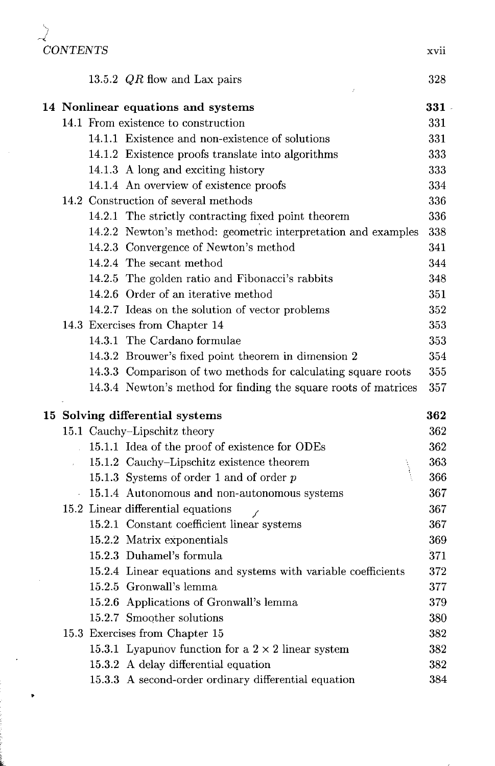| <b>CONTENTS</b> |                                                                 | xvii   |
|-----------------|-----------------------------------------------------------------|--------|
|                 |                                                                 |        |
|                 | 13.5.2 $QR$ flow and Lax pairs                                  | 328    |
|                 | 14 Nonlinear equations and systems                              | $331-$ |
|                 | 14.1 From existence to construction                             | 331    |
|                 | 14.1.1 Existence and non-existence of solutions                 | 331    |
|                 | 14.1.2 Existence proofs translate into algorithms               | 333    |
|                 | 14.1.3 A long and exciting history                              | 333    |
|                 | 14.1.4 An overview of existence proofs                          | 334    |
|                 | 14.2 Construction of several methods                            | 336    |
|                 | 14.2.1 The strictly contracting fixed point theorem             | 336    |
|                 | 14.2.2 Newton's method: geometric interpretation and examples   | 338    |
|                 | 14.2.3 Convergence of Newton's method                           | 341    |
|                 | 14.2.4 The secant method                                        | 344    |
|                 | 14.2.5 The golden ratio and Fibonacci's rabbits                 | 348    |
|                 | 14.2.6 Order of an iterative method                             | 351    |
|                 | 14.2.7 Ideas on the solution of vector problems                 | 352    |
|                 | 14.3 Exercises from Chapter 14                                  | 353    |
|                 | 14.3.1 The Cardano formulae                                     | 353    |
|                 | 14.3.2 Brouwer's fixed point theorem in dimension 2             | 354    |
|                 | 14.3.3 Comparison of two methods for calculating square roots   | 355    |
|                 | 14.3.4 Newton's method for finding the square roots of matrices | 357    |
|                 | 15 Solving differential systems                                 | 362    |
|                 | 15.1 Cauchy-Lipschitz theory                                    | 362    |
|                 | 15.1.1 Idea of the proof of existence for ODEs                  | 362    |
|                 | 15.1.2 Cauchy-Lipschitz existence theorem                       | 363    |
|                 | 15.1.3 Systems of order 1 and of order $p$                      | 366    |
|                 | 15.1.4 Autonomous and non-autonomous systems                    | 367    |
|                 | 15.2 Linear differential equations                              | 367    |
|                 | 15.2.1 Constant coefficient linear systems                      | 367    |
|                 | 15.2.2 Matrix exponentials                                      | 369    |
|                 | 15.2.3 Duhamel's formula                                        | 371    |
|                 | 15.2.4 Linear equations and systems with variable coefficients  | 372    |
|                 | 15.2.5 Gronwall's lemma                                         | 377    |
|                 | 15.2.6 Applications of Gronwall's lemma                         | 379    |
|                 | 15.2.7 Smoother solutions                                       | 380    |
|                 | 15.3 Exercises from Chapter 15                                  | 382    |
|                 | 15.3.1 Lyapunov function for a $2 \times 2$ linear system       | 382    |
|                 | 15.3.2 A delay differential equation                            | 382    |
|                 | 15.3.3 A second-order ordinary differential equation            | 384    |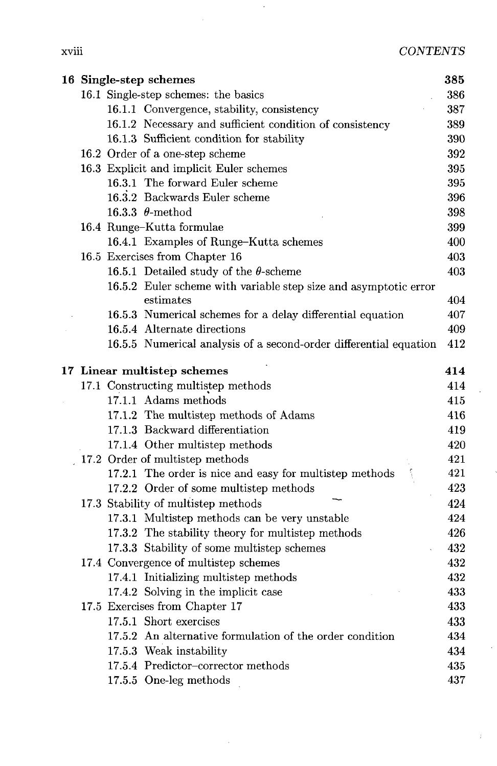xviii *CONTENTS*

|   | × |  |
|---|---|--|
|   |   |  |
| ٠ |   |  |

| 385<br>16 Single-step schemes        |  |                                                                   |     |  |
|--------------------------------------|--|-------------------------------------------------------------------|-----|--|
| 16.1 Single-step schemes: the basics |  |                                                                   |     |  |
|                                      |  | 16.1.1 Convergence, stability, consistency                        | 387 |  |
|                                      |  | 16.1.2 Necessary and sufficient condition of consistency          | 389 |  |
|                                      |  | 16.1.3 Sufficient condition for stability                         | 390 |  |
|                                      |  | 16.2 Order of a one-step scheme                                   | 392 |  |
|                                      |  | 16.3 Explicit and implicit Euler schemes                          | 395 |  |
|                                      |  | 16.3.1 The forward Euler scheme                                   | 395 |  |
|                                      |  | 16.3.2 Backwards Euler scheme                                     | 396 |  |
|                                      |  | 16.3.3 $\theta$ -method                                           | 398 |  |
|                                      |  | 16.4 Runge-Kutta formulae                                         | 399 |  |
|                                      |  | 16.4.1 Examples of Runge-Kutta schemes                            | 400 |  |
|                                      |  | 16.5 Exercises from Chapter 16                                    | 403 |  |
|                                      |  | 16.5.1 Detailed study of the $\theta$ -scheme                     | 403 |  |
|                                      |  | 16.5.2 Euler scheme with variable step size and asymptotic error  |     |  |
|                                      |  | estimates                                                         | 404 |  |
|                                      |  | 16.5.3 Numerical schemes for a delay differential equation        | 407 |  |
|                                      |  | 16.5.4 Alternate directions                                       | 409 |  |
|                                      |  | 16.5.5 Numerical analysis of a second-order differential equation | 412 |  |
| 17 Linear multistep schemes          |  |                                                                   |     |  |
|                                      |  | 17.1 Constructing multistep methods                               | 414 |  |
|                                      |  | 17.1.1 Adams methods                                              | 415 |  |
|                                      |  | 17.1.2 The multistep methods of Adams                             | 416 |  |
|                                      |  | 17.1.3 Backward differentiation                                   | 419 |  |
|                                      |  | 17.1.4 Other multistep methods                                    | 420 |  |
|                                      |  | 17.2 Order of multistep methods                                   | 421 |  |
|                                      |  | 17.2.1 The order is nice and easy for multistep methods           | 421 |  |
|                                      |  | 17.2.2 Order of some multistep methods                            | 423 |  |
|                                      |  | 17.3 Stability of multistep methods                               | 424 |  |
|                                      |  | 17.3.1 Multistep methods can be very unstable                     | 424 |  |
|                                      |  | 17.3.2 The stability theory for multistep methods                 | 426 |  |
|                                      |  | 17.3.3 Stability of some multistep schemes                        | 432 |  |
|                                      |  | 17.4 Convergence of multistep schemes                             | 432 |  |
|                                      |  | 17.4.1 Initializing multistep methods                             | 432 |  |
|                                      |  | 17.4.2 Solving in the implicit case                               | 433 |  |
|                                      |  | 17.5 Exercises from Chapter 17                                    | 433 |  |
|                                      |  | 17.5.1 Short exercises                                            | 433 |  |
|                                      |  | 17.5.2 An alternative formulation of the order condition          | 434 |  |
|                                      |  | 17.5.3 Weak instability                                           | 434 |  |
|                                      |  | 17.5.4 Predictor-corrector methods                                | 435 |  |
|                                      |  | 17.5.5 One-leg methods                                            | 437 |  |

l,